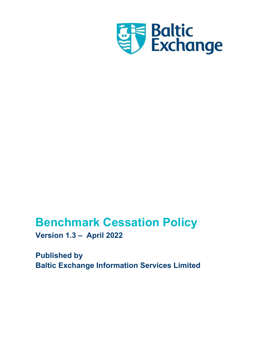

# Benchmark Cessation Policy

Version 1.3 – April 2022

Published by Baltic Exchange Information Services Limited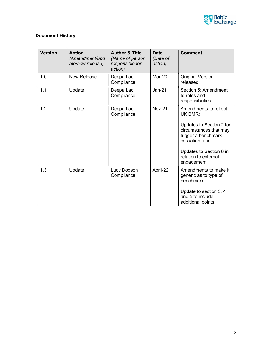

## Document History

| <b>Version</b> | <b>Action</b><br>(Amendment/upd<br>ate/new release) | <b>Author &amp; Title</b><br>(Name of person<br>responsible for<br>action) | Date<br>(Date of<br>action) | <b>Comment</b>                                                                                                                                                                                    |
|----------------|-----------------------------------------------------|----------------------------------------------------------------------------|-----------------------------|---------------------------------------------------------------------------------------------------------------------------------------------------------------------------------------------------|
| 1.0            | <b>New Release</b>                                  | Deepa Lad<br>Compliance                                                    | Mar-20                      | <b>Original Version</b><br>released                                                                                                                                                               |
| 1.1            | Update                                              | Deepa Lad<br>Compliance                                                    | $Jan-21$                    | Section 5: Amendment<br>to roles and<br>responsibilities.                                                                                                                                         |
| 1.2            | Update                                              | Deepa Lad<br>Compliance                                                    | <b>Nov-21</b>               | Amendments to reflect<br>UK BMR;<br>Updates to Section 2 for<br>circumstances that may<br>trigger a benchmark<br>cessation; and<br>Updates to Section 8 in<br>relation to external<br>engagement. |
| 1.3            | Update                                              | Lucy Dodson<br>Compliance                                                  | April-22                    | Amendments to make it<br>generic as to type of<br>benchmark<br>Update to section 3, 4<br>and 5 to include<br>additional points.                                                                   |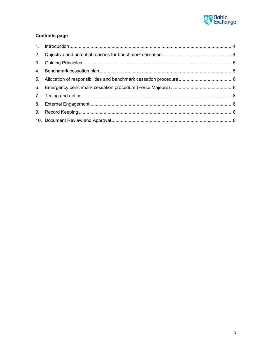

### **Contents page**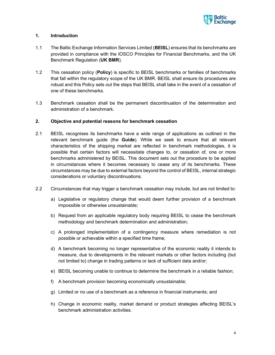

#### 1. Introduction

- 1.1 The Baltic Exchange Information Services Limited (BEISL) ensures that its benchmarks are provided in compliance with the IOSCO Principles for Financial Benchmarks, and the UK Benchmark Regulation (UK BMR).
- 1.2 This cessation policy (Policy) is specific to BEISL benchmarks or families of benchmarks that fall within the regulatory scope of the UK BMR. BEISL shall ensure its procedures are robust and this Policy sets out the steps that BEISL shall take in the event of a cessation of one of these benchmarks.
- 1.3 Benchmark cessation shall be the permanent discontinuation of the determination and administration of a benchmark.

#### 2. Objective and potential reasons for benchmark cessation

- 2.1 BEISL recognises its benchmarks have a wide range of applications as outlined in the relevant benchmark guide (the Guide). While we seek to ensure that all relevant characteristics of the shipping market are reflected in benchmark methodologies, it is possible that certain factors will necessitate changes to, or cessation of, one or more benchmarks administered by BEISL. This document sets out the procedure to be applied in circumstances where it becomes necessary to cease any of its benchmarks. These circumstances may be due to external factors beyond the control of BEISL, internal strategic considerations or voluntary discontinuations.
- 2.2 Circumstances that may trigger a benchmark cessation may include, but are not limited to:
	- a) Legislative or regulatory change that would deem further provision of a benchmark impossible or otherwise unsustainable;
	- b) Request from an applicable regulatory body requiring BEISL to cease the benchmark methodology and benchmark determination and administration;
	- c) A prolonged implementation of a contingency measure where remediation is not possible or achievable within a specified time frame;
	- d) A benchmark becoming no longer representative of the economic reality it intends to measure, due to developments in the relevant markets or other factors including (but not limited to) change in trading patterns or lack of sufficient data and/or;
	- e) BEISL becoming unable to continue to determine the benchmark in a reliable fashion;
	- f) A benchmark provision becoming economically unsustainable;
	- g) Limited or no use of a benchmark as a reference in financial instruments; and
	- h) Change in economic reality, market demand or product strategies affecting BEISL's benchmark administration activities.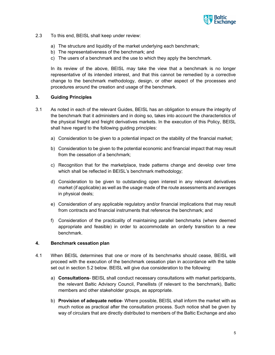

- 2.3 To this end, BEISL shall keep under review:
	- a) The structure and liquidity of the market underlying each benchmark;
	- b) The representativeness of the benchmark; and
	- c) The users of a benchmark and the use to which they apply the benchmark.

In its review of the above, BEISL may take the view that a benchmark is no longer representative of its intended interest, and that this cannot be remedied by a corrective change to the benchmark methodology, design, or other aspect of the processes and procedures around the creation and usage of the benchmark.

#### 3. Guiding Principles

- 3.1 As noted in each of the relevant Guides, BEISL has an obligation to ensure the integrity of the benchmark that it administers and in doing so, takes into account the characteristics of the physical freight and freight derivatives markets. In the execution of this Policy, BEISL shall have regard to the following guiding principles:
	- a) Consideration to be given to a potential impact on the stability of the financial market;
	- b) Consideration to be given to the potential economic and financial impact that may result from the cessation of a benchmark;
	- c) Recognition that for the marketplace, trade patterns change and develop over time which shall be reflected in BEISL's benchmark methodology;
	- d) Consideration to be given to outstanding open interest in any relevant derivatives market (if applicable) as well as the usage made of the route assessments and averages in physical deals;
	- e) Consideration of any applicable regulatory and/or financial implications that may result from contracts and financial instruments that reference the benchmark; and
	- f) Consideration of the practicality of maintaining parallel benchmarks (where deemed appropriate and feasible) in order to accommodate an orderly transition to a new benchmark.

#### 4. Benchmark cessation plan

- 4.1 When BEISL determines that one or more of its benchmarks should cease, BEISL will proceed with the execution of the benchmark cessation plan in accordance with the table set out in section 5.2 below. BEISL will give due consideration to the following:
	- a) Consultations- BEISL shall conduct necessary consultations with market participants, the relevant Baltic Advisory Council, Panellists (if relevant to the benchmark), Baltic members and other stakeholder groups, as appropriate.
	- b) Provision of adequate notice- Where possible, BEISL shall inform the market with as much notice as practical after the consultation process. Such notice shall be given by way of circulars that are directly distributed to members of the Baltic Exchange and also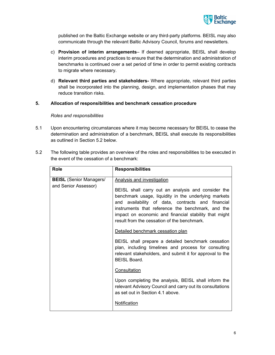

published on the Baltic Exchange website or any third-party platforms. BEISL may also communicate through the relevant Baltic Advisory Council, forums and newsletters.

- c) Provision of interim arrangements– If deemed appropriate, BEISL shall develop interim procedures and practices to ensure that the determination and administration of benchmarks is continued over a set period of time in order to permit existing contracts to migrate where necessary.
- d) Relevant third parties and stakeholders- Where appropriate, relevant third parties shall be incorporated into the planning, design, and implementation phases that may reduce transition risks.
- 5. Allocation of responsibilities and benchmark cessation procedure

#### Roles and responsibilities

- 5.1 Upon encountering circumstances where it may become necessary for BEISL to cease the determination and administration of a benchmark, BEISL shall execute its responsibilities as outlined in Section 5.2 below.
- 5.2 The following table provides an overview of the roles and responsibilities to be executed in the event of the cessation of a benchmark:

| Role                                                   | <b>Responsibilities</b>                                                                                                                                                                                                                                                                                                                                                                                                                                                                                                                                                                                                                                                                                                                                                          |
|--------------------------------------------------------|----------------------------------------------------------------------------------------------------------------------------------------------------------------------------------------------------------------------------------------------------------------------------------------------------------------------------------------------------------------------------------------------------------------------------------------------------------------------------------------------------------------------------------------------------------------------------------------------------------------------------------------------------------------------------------------------------------------------------------------------------------------------------------|
| <b>BEISL</b> (Senior Managers/<br>and Senior Assessor) | <b>Analysis and investigation</b><br>BEISL shall carry out an analysis and consider the<br>benchmark usage, liquidity in the underlying markets<br>and availability of data, contracts and financial<br>instruments that reference the benchmark, and the<br>impact on economic and financial stability that might<br>result from the cessation of the benchmark.<br>Detailed benchmark cessation plan<br>BEISL shall prepare a detailed benchmark cessation<br>plan, including timelines and process for consulting<br>relevant stakeholders, and submit it for approval to the<br><b>BEISL Board.</b><br>Consultation<br>Upon completing the analysis, BEISL shall inform the<br>relevant Advisory Council and carry out its consultations<br>as set out in Section 4.1 above. |
|                                                        | Notification                                                                                                                                                                                                                                                                                                                                                                                                                                                                                                                                                                                                                                                                                                                                                                     |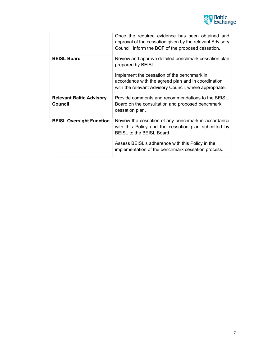

|                                 | Once the required evidence has been obtained and<br>approval of the cessation given by the relevant Advisory<br>Council, inform the BOF of the proposed cessation. |
|---------------------------------|--------------------------------------------------------------------------------------------------------------------------------------------------------------------|
| <b>BEISL Board</b>              | Review and approve detailed benchmark cessation plan<br>prepared by BEISL.                                                                                         |
|                                 | Implement the cessation of the benchmark in                                                                                                                        |
|                                 | accordance with the agreed plan and in coordination                                                                                                                |
|                                 | with the relevant Advisory Council, where appropriate.                                                                                                             |
| <b>Relevant Baltic Advisory</b> | Provide comments and recommendations to the BEISL                                                                                                                  |
| Council                         | Board on the consultation and proposed benchmark<br>cessation plan.                                                                                                |
| <b>BEISL Oversight Function</b> | Review the cessation of any benchmark in accordance<br>with this Policy and the cessation plan submitted by<br>BEISL to the BEISL Board.                           |
|                                 | Assess BEISL's adherence with this Policy in the<br>implementation of the benchmark cessation process.                                                             |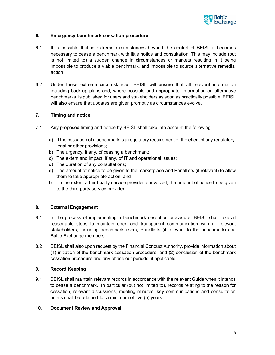

#### 6. Emergency benchmark cessation procedure

- 6.1 It is possible that in extreme circumstances beyond the control of BEISL it becomes necessary to cease a benchmark with little notice and consultation. This may include (but is not limited to) a sudden change in circumstances or markets resulting in it being impossible to produce a viable benchmark, and impossible to source alternative remedial action.
- 6.2 Under these extreme circumstances, BEISL will ensure that all relevant information including back-up plans and, where possible and appropriate, information on alternative benchmarks, is published for users and stakeholders as soon as practically possible. BEISL will also ensure that updates are given promptly as circumstances evolve.

#### 7. Timing and notice

- 7.1 Any proposed timing and notice by BEISL shall take into account the following:
	- a) If the cessation of a benchmark is a regulatory requirement or the effect of any regulatory, legal or other provisions;
	- b) The urgency, if any, of ceasing a benchmark;
	- c) The extent and impact, if any, of IT and operational issues;
	- d) The duration of any consultations;
	- e) The amount of notice to be given to the marketplace and Panellists (if relevant) to allow them to take appropriate action; and
	- f) To the extent a third-party service provider is involved, the amount of notice to be given to the third-party service provider.

#### 8. External Engagement

- 8.1 In the process of implementing a benchmark cessation procedure, BEISL shall take all reasonable steps to maintain open and transparent communication with all relevant stakeholders, including benchmark users, Panellists (if relevant to the benchmark) and Baltic Exchange members.
- 8.2 BEISL shall also upon request by the Financial Conduct Authority, provide information about (1) initiation of the benchmark cessation procedure, and (2) conclusion of the benchmark cessation procedure and any phase out periods, if applicable.

#### 9. Record Keeping

9.1 BEISL shall maintain relevant records in accordance with the relevant Guide when it intends to cease a benchmark. In particular (but not limited to), records relating to the reason for cessation, relevant discussions, meeting minutes, key communications and consultation points shall be retained for a minimum of five (5) years.

#### 10. Document Review and Approval